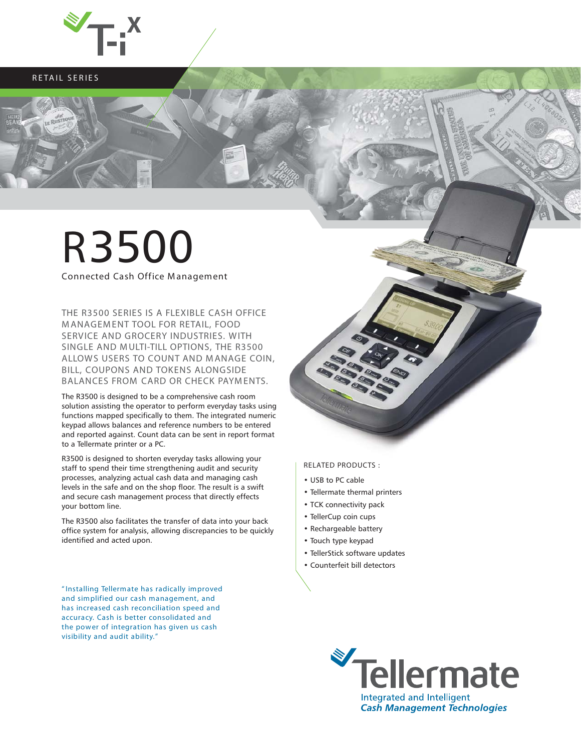

**RETAIL SERIES**

# **R**3500

**Connected Cash Office Management**

**THE R3500 SERIES IS A FLEXIBLE CASH OFFICE M ANAGEM ENT TOOL FOR RETAIL, FOOD SERVICE AND GROCERY INDUSTRIES. WITH SINGLE AND M ULTI-TILL OPTIONS, THE R3500 ALLOWS USERS TO COUNT AND M ANAGE COIN, BILL, COUPONS AND TOKENS ALONGSIDE BALANCES FROM CARD OR CHECK PAYM ENTS.**

The R3500 is designed to be a comprehensive cash room solution assisting the operator to perform everyday tasks using functions mapped specifically to them. The integrated numeric keypad allows balances and reference numbers to be entered and reported against. Count data can be sent in report format to a Tellermate printer or a PC.

R3500 is designed to shorten everyday tasks allowing your staff to spend their time strengthening audit and security processes, analyzing actual cash data and managing cash levels in the safe and on the shop floor. The result is a swift and secure cash management process that directly effects your bottom line.

The R3500 also facilitates the transfer of data into your back office system for analysis, allowing discrepancies to be quickly identified and acted upon.

**" Installing Tellermate has radically improved and simplified our cash management, and has increased cash reconciliation speed and accuracy. Cash is better consolidated and the power of integration has given us cash visibility and audit ability. "**

**RELATED PRODUCTS :**

- USB to PC cable
- Tellermate thermal printers
- TCK connectivity pack
- TellerCup coin cups
- Rechargeable battery
- Touch type keypad
- TellerStick software updates
- Counterfeit bill detectors